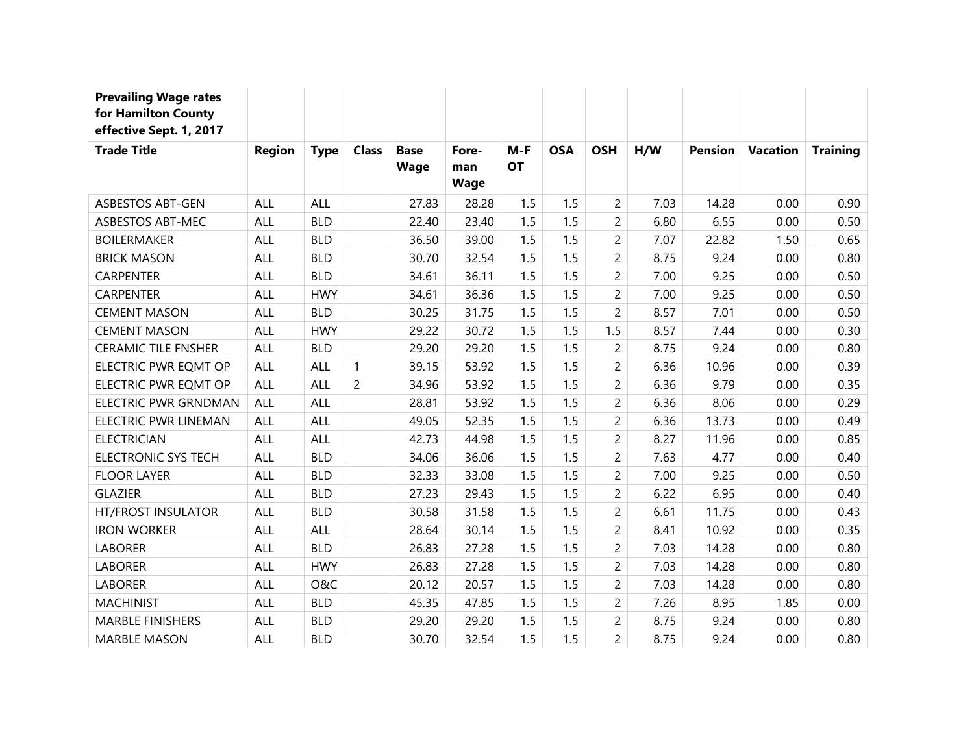| <b>Prevailing Wage rates</b><br>for Hamilton County<br>effective Sept. 1, 2017 |               |             |                |                            |                             |                    |            |                |      |                |                 |                 |
|--------------------------------------------------------------------------------|---------------|-------------|----------------|----------------------------|-----------------------------|--------------------|------------|----------------|------|----------------|-----------------|-----------------|
| <b>Trade Title</b>                                                             | <b>Region</b> | <b>Type</b> | <b>Class</b>   | <b>Base</b><br><b>Wage</b> | Fore-<br>man<br><b>Wage</b> | $M-F$<br><b>OT</b> | <b>OSA</b> | <b>OSH</b>     | H/W  | <b>Pension</b> | <b>Vacation</b> | <b>Training</b> |
| <b>ASBESTOS ABT-GEN</b>                                                        | ALL           | ALL         |                | 27.83                      | 28.28                       | 1.5                | 1.5        | $\overline{2}$ | 7.03 | 14.28          | 0.00            | 0.90            |
| <b>ASBESTOS ABT-MEC</b>                                                        | ALL           | <b>BLD</b>  |                | 22.40                      | 23.40                       | 1.5                | 1.5        | $\overline{2}$ | 6.80 | 6.55           | 0.00            | 0.50            |
| <b>BOILERMAKER</b>                                                             | ALL           | <b>BLD</b>  |                | 36.50                      | 39.00                       | 1.5                | 1.5        | $\overline{2}$ | 7.07 | 22.82          | 1.50            | 0.65            |
| <b>BRICK MASON</b>                                                             | ALL           | <b>BLD</b>  |                | 30.70                      | 32.54                       | 1.5                | 1.5        | $\overline{2}$ | 8.75 | 9.24           | 0.00            | 0.80            |
| <b>CARPENTER</b>                                                               | ALL           | <b>BLD</b>  |                | 34.61                      | 36.11                       | 1.5                | 1.5        | $\overline{c}$ | 7.00 | 9.25           | 0.00            | 0.50            |
| <b>CARPENTER</b>                                                               | ALL           | <b>HWY</b>  |                | 34.61                      | 36.36                       | 1.5                | 1.5        | $\overline{2}$ | 7.00 | 9.25           | 0.00            | 0.50            |
| <b>CEMENT MASON</b>                                                            | ALL           | <b>BLD</b>  |                | 30.25                      | 31.75                       | 1.5                | 1.5        | $\overline{2}$ | 8.57 | 7.01           | 0.00            | 0.50            |
| <b>CEMENT MASON</b>                                                            | ALL           | <b>HWY</b>  |                | 29.22                      | 30.72                       | 1.5                | 1.5        | 1.5            | 8.57 | 7.44           | 0.00            | 0.30            |
| <b>CERAMIC TILE FNSHER</b>                                                     | ALL           | <b>BLD</b>  |                | 29.20                      | 29.20                       | 1.5                | 1.5        | $\overline{2}$ | 8.75 | 9.24           | 0.00            | 0.80            |
| ELECTRIC PWR EQMT OP                                                           | ALL           | ALL         | $\mathbf{1}$   | 39.15                      | 53.92                       | 1.5                | 1.5        | $\overline{2}$ | 6.36 | 10.96          | 0.00            | 0.39            |
| ELECTRIC PWR EQMT OP                                                           | ALL           | ALL         | $\overline{c}$ | 34.96                      | 53.92                       | 1.5                | 1.5        | $\overline{c}$ | 6.36 | 9.79           | 0.00            | 0.35            |
| ELECTRIC PWR GRNDMAN                                                           | ALL           | ALL         |                | 28.81                      | 53.92                       | 1.5                | 1.5        | $\overline{c}$ | 6.36 | 8.06           | 0.00            | 0.29            |
| ELECTRIC PWR LINEMAN                                                           | ALL           | ALL         |                | 49.05                      | 52.35                       | 1.5                | 1.5        | $\overline{2}$ | 6.36 | 13.73          | 0.00            | 0.49            |
| <b>ELECTRICIAN</b>                                                             | ALL           | ALL         |                | 42.73                      | 44.98                       | 1.5                | 1.5        | $\overline{2}$ | 8.27 | 11.96          | 0.00            | 0.85            |
| <b>ELECTRONIC SYS TECH</b>                                                     | <b>ALL</b>    | <b>BLD</b>  |                | 34.06                      | 36.06                       | 1.5                | 1.5        | $\overline{2}$ | 7.63 | 4.77           | 0.00            | 0.40            |
| <b>FLOOR LAYER</b>                                                             | ALL           | <b>BLD</b>  |                | 32.33                      | 33.08                       | 1.5                | 1.5        | $\overline{c}$ | 7.00 | 9.25           | 0.00            | 0.50            |
| <b>GLAZIER</b>                                                                 | ALL           | <b>BLD</b>  |                | 27.23                      | 29.43                       | 1.5                | 1.5        | $\overline{c}$ | 6.22 | 6.95           | 0.00            | 0.40            |
| <b>HT/FROST INSULATOR</b>                                                      | ALL           | <b>BLD</b>  |                | 30.58                      | 31.58                       | 1.5                | 1.5        | $\overline{2}$ | 6.61 | 11.75          | 0.00            | 0.43            |
| <b>IRON WORKER</b>                                                             | ALL           | ALL         |                | 28.64                      | 30.14                       | 1.5                | 1.5        | $\overline{2}$ | 8.41 | 10.92          | 0.00            | 0.35            |
| <b>LABORER</b>                                                                 | ALL           | <b>BLD</b>  |                | 26.83                      | 27.28                       | 1.5                | 1.5        | $\overline{2}$ | 7.03 | 14.28          | 0.00            | 0.80            |
| <b>LABORER</b>                                                                 | ALL           | <b>HWY</b>  |                | 26.83                      | 27.28                       | 1.5                | 1.5        | $\overline{2}$ | 7.03 | 14.28          | 0.00            | 0.80            |
| <b>LABORER</b>                                                                 | <b>ALL</b>    | O&C         |                | 20.12                      | 20.57                       | 1.5                | 1.5        | $\overline{c}$ | 7.03 | 14.28          | 0.00            | 0.80            |
| <b>MACHINIST</b>                                                               | ALL           | <b>BLD</b>  |                | 45.35                      | 47.85                       | 1.5                | 1.5        | $\overline{2}$ | 7.26 | 8.95           | 1.85            | 0.00            |
| <b>MARBLE FINISHERS</b>                                                        | ALL           | <b>BLD</b>  |                | 29.20                      | 29.20                       | 1.5                | 1.5        | $\overline{c}$ | 8.75 | 9.24           | 0.00            | 0.80            |
| <b>MARBLE MASON</b>                                                            | ALL           | <b>BLD</b>  |                | 30.70                      | 32.54                       | 1.5                | 1.5        | $\overline{2}$ | 8.75 | 9.24           | 0.00            | 0.80            |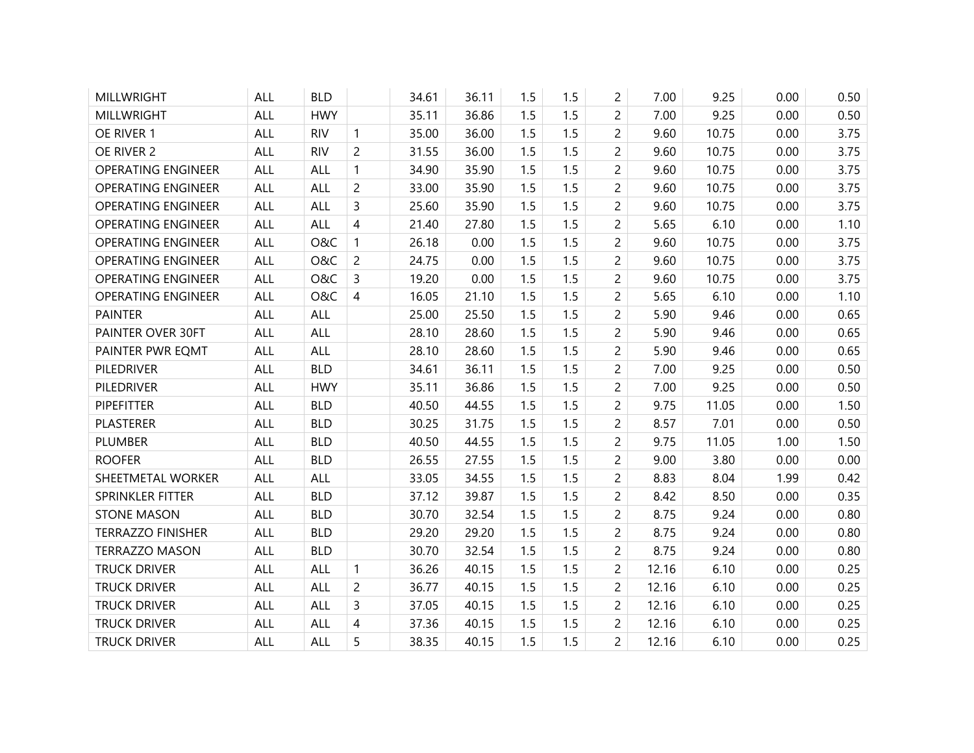| <b>MILLWRIGHT</b>         | ALL        | <b>BLD</b> |                | 34.61 | 36.11 | 1.5 | 1.5 | 2              | 7.00  | 9.25  | 0.00 | 0.50 |
|---------------------------|------------|------------|----------------|-------|-------|-----|-----|----------------|-------|-------|------|------|
| MILLWRIGHT                | ALL        | <b>HWY</b> |                | 35.11 | 36.86 | 1.5 | 1.5 | $\overline{2}$ | 7.00  | 9.25  | 0.00 | 0.50 |
| OE RIVER 1                | <b>ALL</b> | <b>RIV</b> | $\mathbf{1}$   | 35.00 | 36.00 | 1.5 | 1.5 | $\overline{c}$ | 9.60  | 10.75 | 0.00 | 3.75 |
| OE RIVER 2                | <b>ALL</b> | <b>RIV</b> | $\overline{c}$ | 31.55 | 36.00 | 1.5 | 1.5 | $\overline{2}$ | 9.60  | 10.75 | 0.00 | 3.75 |
| <b>OPERATING ENGINEER</b> | <b>ALL</b> | <b>ALL</b> | $\mathbf{1}$   | 34.90 | 35.90 | 1.5 | 1.5 | $\overline{2}$ | 9.60  | 10.75 | 0.00 | 3.75 |
| <b>OPERATING ENGINEER</b> | <b>ALL</b> | ALL        | $\overline{c}$ | 33.00 | 35.90 | 1.5 | 1.5 | $\overline{c}$ | 9.60  | 10.75 | 0.00 | 3.75 |
| <b>OPERATING ENGINEER</b> | <b>ALL</b> | ALL        | $\overline{3}$ | 25.60 | 35.90 | 1.5 | 1.5 | $\overline{2}$ | 9.60  | 10.75 | 0.00 | 3.75 |
| <b>OPERATING ENGINEER</b> | <b>ALL</b> | <b>ALL</b> | $\overline{4}$ | 21.40 | 27.80 | 1.5 | 1.5 | $\overline{2}$ | 5.65  | 6.10  | 0.00 | 1.10 |
| <b>OPERATING ENGINEER</b> | <b>ALL</b> | O&C        | $\mathbf{1}$   | 26.18 | 0.00  | 1.5 | 1.5 | $\overline{c}$ | 9.60  | 10.75 | 0.00 | 3.75 |
| <b>OPERATING ENGINEER</b> | <b>ALL</b> | O&C        | $\overline{c}$ | 24.75 | 0.00  | 1.5 | 1.5 | $\overline{2}$ | 9.60  | 10.75 | 0.00 | 3.75 |
| <b>OPERATING ENGINEER</b> | <b>ALL</b> | O&C        | 3              | 19.20 | 0.00  | 1.5 | 1.5 | $\overline{c}$ | 9.60  | 10.75 | 0.00 | 3.75 |
| <b>OPERATING ENGINEER</b> | <b>ALL</b> | O&C        | $\overline{4}$ | 16.05 | 21.10 | 1.5 | 1.5 | $\overline{2}$ | 5.65  | 6.10  | 0.00 | 1.10 |
| <b>PAINTER</b>            | <b>ALL</b> | <b>ALL</b> |                | 25.00 | 25.50 | 1.5 | 1.5 | $\overline{2}$ | 5.90  | 9.46  | 0.00 | 0.65 |
| PAINTER OVER 30FT         | <b>ALL</b> | <b>ALL</b> |                | 28.10 | 28.60 | 1.5 | 1.5 | $\overline{2}$ | 5.90  | 9.46  | 0.00 | 0.65 |
| PAINTER PWR EQMT          | ALL        | ALL        |                | 28.10 | 28.60 | 1.5 | 1.5 | $\overline{c}$ | 5.90  | 9.46  | 0.00 | 0.65 |
| PILEDRIVER                | <b>ALL</b> | <b>BLD</b> |                | 34.61 | 36.11 | 1.5 | 1.5 | $\overline{c}$ | 7.00  | 9.25  | 0.00 | 0.50 |
| PILEDRIVER                | <b>ALL</b> | <b>HWY</b> |                | 35.11 | 36.86 | 1.5 | 1.5 | $\overline{2}$ | 7.00  | 9.25  | 0.00 | 0.50 |
| <b>PIPEFITTER</b>         | ALL        | <b>BLD</b> |                | 40.50 | 44.55 | 1.5 | 1.5 | $\overline{2}$ | 9.75  | 11.05 | 0.00 | 1.50 |
| <b>PLASTERER</b>          | <b>ALL</b> | <b>BLD</b> |                | 30.25 | 31.75 | 1.5 | 1.5 | $\overline{a}$ | 8.57  | 7.01  | 0.00 | 0.50 |
| PLUMBER                   | ALL        | <b>BLD</b> |                | 40.50 | 44.55 | 1.5 | 1.5 | $\overline{c}$ | 9.75  | 11.05 | 1.00 | 1.50 |
| <b>ROOFER</b>             | <b>ALL</b> | <b>BLD</b> |                | 26.55 | 27.55 | 1.5 | 1.5 | $\overline{c}$ | 9.00  | 3.80  | 0.00 | 0.00 |
| SHEETMETAL WORKER         | ALL        | ALL        |                | 33.05 | 34.55 | 1.5 | 1.5 | $\overline{2}$ | 8.83  | 8.04  | 1.99 | 0.42 |
| SPRINKLER FITTER          | <b>ALL</b> | <b>BLD</b> |                | 37.12 | 39.87 | 1.5 | 1.5 | $\overline{2}$ | 8.42  | 8.50  | 0.00 | 0.35 |
| <b>STONE MASON</b>        | <b>ALL</b> | <b>BLD</b> |                | 30.70 | 32.54 | 1.5 | 1.5 | $\overline{a}$ | 8.75  | 9.24  | 0.00 | 0.80 |
| <b>TERRAZZO FINISHER</b>  | ALL        | <b>BLD</b> |                | 29.20 | 29.20 | 1.5 | 1.5 | $\overline{2}$ | 8.75  | 9.24  | 0.00 | 0.80 |
| <b>TERRAZZO MASON</b>     | <b>ALL</b> | <b>BLD</b> |                | 30.70 | 32.54 | 1.5 | 1.5 | $\overline{c}$ | 8.75  | 9.24  | 0.00 | 0.80 |
| <b>TRUCK DRIVER</b>       | <b>ALL</b> | <b>ALL</b> | $\mathbf{1}$   | 36.26 | 40.15 | 1.5 | 1.5 | $\overline{2}$ | 12.16 | 6.10  | 0.00 | 0.25 |
| <b>TRUCK DRIVER</b>       | <b>ALL</b> | ALL        | $\overline{c}$ | 36.77 | 40.15 | 1.5 | 1.5 | $\overline{2}$ | 12.16 | 6.10  | 0.00 | 0.25 |
| <b>TRUCK DRIVER</b>       | <b>ALL</b> | <b>ALL</b> | $\overline{3}$ | 37.05 | 40.15 | 1.5 | 1.5 | $\overline{2}$ | 12.16 | 6.10  | 0.00 | 0.25 |
| <b>TRUCK DRIVER</b>       | <b>ALL</b> | <b>ALL</b> | 4              | 37.36 | 40.15 | 1.5 | 1.5 | $\overline{c}$ | 12.16 | 6.10  | 0.00 | 0.25 |
| <b>TRUCK DRIVER</b>       | ALL        | ALL        | 5              | 38.35 | 40.15 | 1.5 | 1.5 | $\overline{c}$ | 12.16 | 6.10  | 0.00 | 0.25 |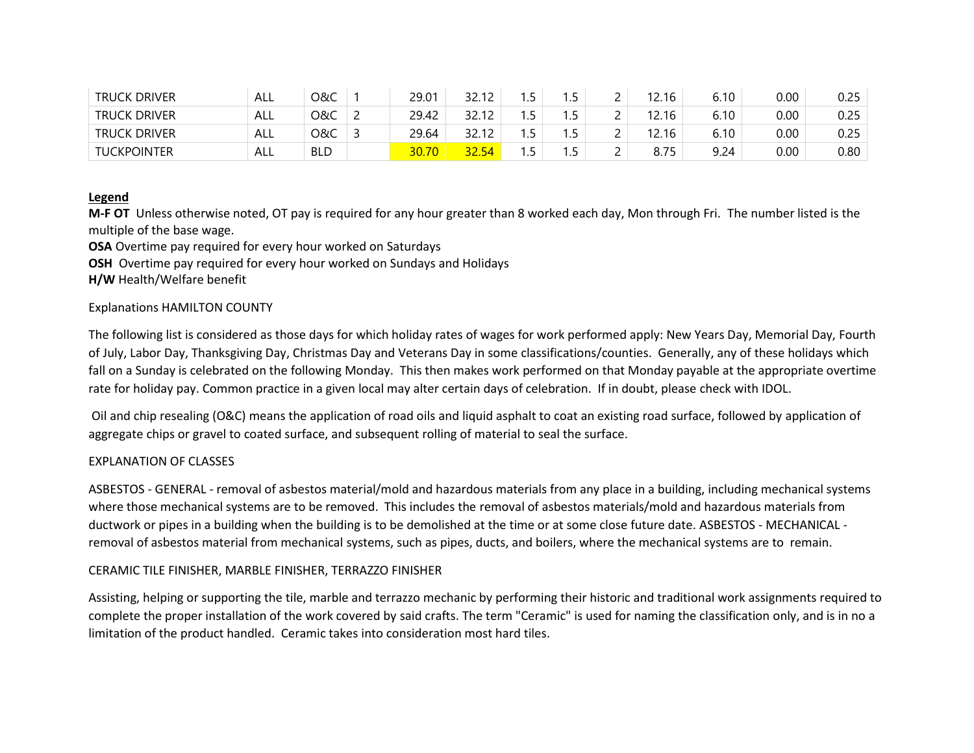| <b>TRUCK DRIVER</b> | ALL | 0&C        | 29.01 | າາ 1າ           | . . | ر.  |          | 12.16 | 6.10 | 0.00 | 0.25 |
|---------------------|-----|------------|-------|-----------------|-----|-----|----------|-------|------|------|------|
| <b>TRUCK DRIVER</b> | ALL | O&C        | 29.42 | າາ 1າ           | . . | ر . |          | 12.16 | ó.10 | 0.00 | 0.25 |
| <b>TRUCK DRIVER</b> | ALL | ೦&C        | 29.64 | າ 1 າ<br>32. IZ | . . | ر., |          | 12.16 | 6.10 | 0.00 | 0.25 |
| <b>TUCKPOINTER</b>  | ALL | <b>BLD</b> | 30.70 | 54              |     | ر . | <u>_</u> | 8.75  | 9.24 | 0.00 | 0.80 |

# **Legend**

**M-F OT** Unless otherwise noted, OT pay is required for any hour greater than 8 worked each day, Mon through Fri. The number listed is the multiple of the base wage.

**OSA** Overtime pay required for every hour worked on Saturdays

**OSH** Overtime pay required for every hour worked on Sundays and Holidays

**H/W** Health/Welfare benefit

# Explanations HAMILTON COUNTY

The following list is considered as those days for which holiday rates of wages for work performed apply: New Years Day, Memorial Day, Fourth of July, Labor Day, Thanksgiving Day, Christmas Day and Veterans Day in some classifications/counties. Generally, any of these holidays which fall on a Sunday is celebrated on the following Monday. This then makes work performed on that Monday payable at the appropriate overtime rate for holiday pay. Common practice in a given local may alter certain days of celebration. If in doubt, please check with IDOL.

Oil and chip resealing (O&C) means the application of road oils and liquid asphalt to coat an existing road surface, followed by application of aggregate chips or gravel to coated surface, and subsequent rolling of material to seal the surface.

### EXPLANATION OF CLASSES

ASBESTOS - GENERAL - removal of asbestos material/mold and hazardous materials from any place in a building, including mechanical systems where those mechanical systems are to be removed. This includes the removal of asbestos materials/mold and hazardous materials from ductwork or pipes in a building when the building is to be demolished at the time or at some close future date. ASBESTOS - MECHANICAL removal of asbestos material from mechanical systems, such as pipes, ducts, and boilers, where the mechanical systems are to remain.

# CERAMIC TILE FINISHER, MARBLE FINISHER, TERRAZZO FINISHER

Assisting, helping or supporting the tile, marble and terrazzo mechanic by performing their historic and traditional work assignments required to complete the proper installation of the work covered by said crafts. The term "Ceramic" is used for naming the classification only, and is in no a limitation of the product handled. Ceramic takes into consideration most hard tiles.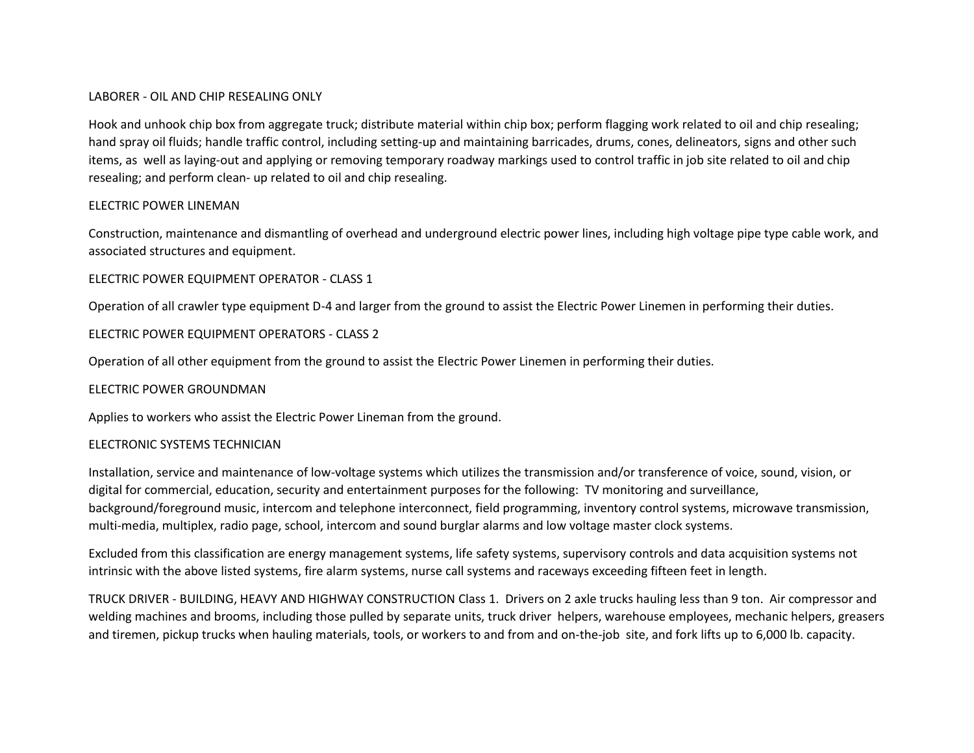#### LABORER - OIL AND CHIP RESEALING ONLY

Hook and unhook chip box from aggregate truck; distribute material within chip box; perform flagging work related to oil and chip resealing; hand spray oil fluids; handle traffic control, including setting-up and maintaining barricades, drums, cones, delineators, signs and other such items, as well as laying-out and applying or removing temporary roadway markings used to control traffic in job site related to oil and chip resealing; and perform clean- up related to oil and chip resealing.

#### ELECTRIC POWER LINEMAN

Construction, maintenance and dismantling of overhead and underground electric power lines, including high voltage pipe type cable work, and associated structures and equipment.

ELECTRIC POWER EQUIPMENT OPERATOR - CLASS 1

Operation of all crawler type equipment D-4 and larger from the ground to assist the Electric Power Linemen in performing their duties.

### ELECTRIC POWER EQUIPMENT OPERATORS - CLASS 2

Operation of all other equipment from the ground to assist the Electric Power Linemen in performing their duties.

### ELECTRIC POWER GROUNDMAN

Applies to workers who assist the Electric Power Lineman from the ground.

#### ELECTRONIC SYSTEMS TECHNICIAN

Installation, service and maintenance of low-voltage systems which utilizes the transmission and/or transference of voice, sound, vision, or digital for commercial, education, security and entertainment purposes for the following: TV monitoring and surveillance, background/foreground music, intercom and telephone interconnect, field programming, inventory control systems, microwave transmission, multi-media, multiplex, radio page, school, intercom and sound burglar alarms and low voltage master clock systems.

Excluded from this classification are energy management systems, life safety systems, supervisory controls and data acquisition systems not intrinsic with the above listed systems, fire alarm systems, nurse call systems and raceways exceeding fifteen feet in length.

TRUCK DRIVER - BUILDING, HEAVY AND HIGHWAY CONSTRUCTION Class 1. Drivers on 2 axle trucks hauling less than 9 ton. Air compressor and welding machines and brooms, including those pulled by separate units, truck driver helpers, warehouse employees, mechanic helpers, greasers and tiremen, pickup trucks when hauling materials, tools, or workers to and from and on-the-job site, and fork lifts up to 6,000 lb. capacity.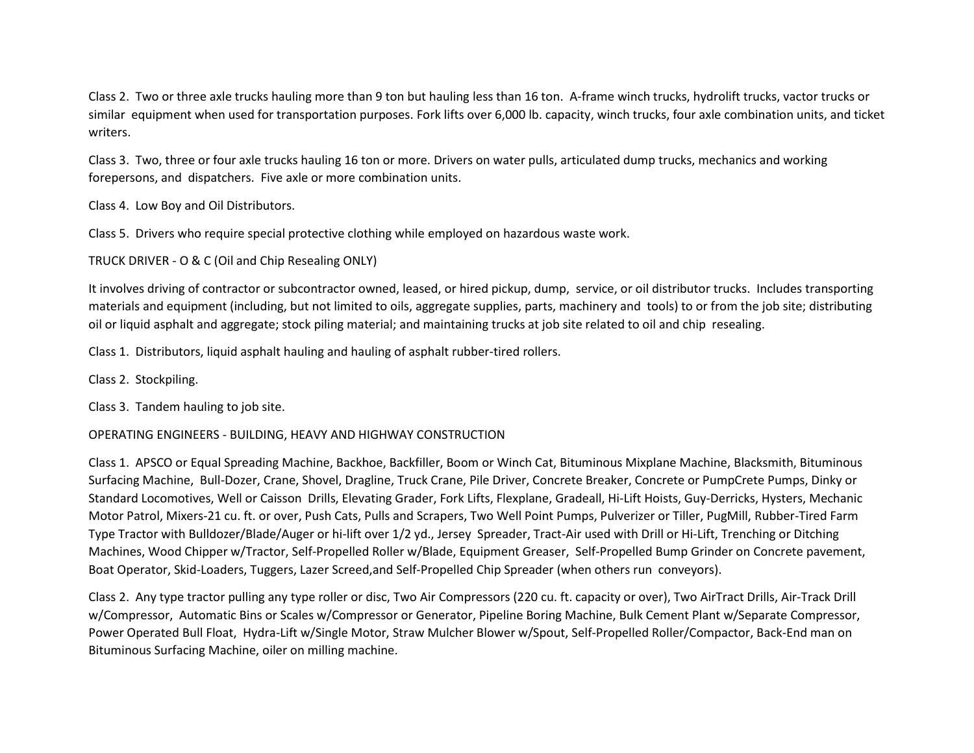Class 2. Two or three axle trucks hauling more than 9 ton but hauling less than 16 ton. A-frame winch trucks, hydrolift trucks, vactor trucks or similar equipment when used for transportation purposes. Fork lifts over 6,000 lb. capacity, winch trucks, four axle combination units, and ticket writers.

Class 3. Two, three or four axle trucks hauling 16 ton or more. Drivers on water pulls, articulated dump trucks, mechanics and working forepersons, and dispatchers. Five axle or more combination units.

Class 4. Low Boy and Oil Distributors.

Class 5. Drivers who require special protective clothing while employed on hazardous waste work.

TRUCK DRIVER - O & C (Oil and Chip Resealing ONLY)

It involves driving of contractor or subcontractor owned, leased, or hired pickup, dump, service, or oil distributor trucks. Includes transporting materials and equipment (including, but not limited to oils, aggregate supplies, parts, machinery and tools) to or from the job site; distributing oil or liquid asphalt and aggregate; stock piling material; and maintaining trucks at job site related to oil and chip resealing.

Class 1. Distributors, liquid asphalt hauling and hauling of asphalt rubber-tired rollers.

Class 2. Stockpiling.

Class 3. Tandem hauling to job site.

### OPERATING ENGINEERS - BUILDING, HEAVY AND HIGHWAY CONSTRUCTION

Class 1. APSCO or Equal Spreading Machine, Backhoe, Backfiller, Boom or Winch Cat, Bituminous Mixplane Machine, Blacksmith, Bituminous Surfacing Machine, Bull-Dozer, Crane, Shovel, Dragline, Truck Crane, Pile Driver, Concrete Breaker, Concrete or PumpCrete Pumps, Dinky or Standard Locomotives, Well or Caisson Drills, Elevating Grader, Fork Lifts, Flexplane, Gradeall, Hi-Lift Hoists, Guy-Derricks, Hysters, Mechanic Motor Patrol, Mixers-21 cu. ft. or over, Push Cats, Pulls and Scrapers, Two Well Point Pumps, Pulverizer or Tiller, PugMill, Rubber-Tired Farm Type Tractor with Bulldozer/Blade/Auger or hi-lift over 1/2 yd., Jersey Spreader, Tract-Air used with Drill or Hi-Lift, Trenching or Ditching Machines, Wood Chipper w/Tractor, Self-Propelled Roller w/Blade, Equipment Greaser, Self-Propelled Bump Grinder on Concrete pavement, Boat Operator, Skid-Loaders, Tuggers, Lazer Screed,and Self-Propelled Chip Spreader (when others run conveyors).

Class 2. Any type tractor pulling any type roller or disc, Two Air Compressors (220 cu. ft. capacity or over), Two AirTract Drills, Air-Track Drill w/Compressor, Automatic Bins or Scales w/Compressor or Generator, Pipeline Boring Machine, Bulk Cement Plant w/Separate Compressor, Power Operated Bull Float, Hydra-Lift w/Single Motor, Straw Mulcher Blower w/Spout, Self-Propelled Roller/Compactor, Back-End man on Bituminous Surfacing Machine, oiler on milling machine.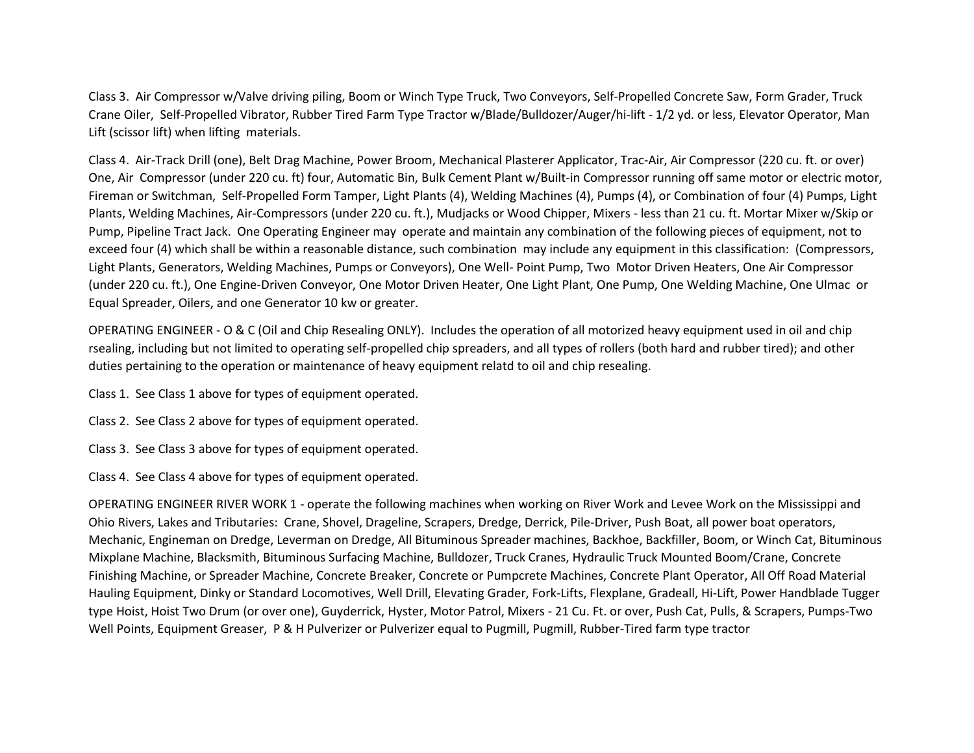Class 3. Air Compressor w/Valve driving piling, Boom or Winch Type Truck, Two Conveyors, Self-Propelled Concrete Saw, Form Grader, Truck Crane Oiler, Self-Propelled Vibrator, Rubber Tired Farm Type Tractor w/Blade/Bulldozer/Auger/hi-lift - 1/2 yd. or less, Elevator Operator, Man Lift (scissor lift) when lifting materials.

Class 4. Air-Track Drill (one), Belt Drag Machine, Power Broom, Mechanical Plasterer Applicator, Trac-Air, Air Compressor (220 cu. ft. or over) One, Air Compressor (under 220 cu. ft) four, Automatic Bin, Bulk Cement Plant w/Built-in Compressor running off same motor or electric motor, Fireman or Switchman, Self-Propelled Form Tamper, Light Plants (4), Welding Machines (4), Pumps (4), or Combination of four (4) Pumps, Light Plants, Welding Machines, Air-Compressors (under 220 cu. ft.), Mudjacks or Wood Chipper, Mixers - less than 21 cu. ft. Mortar Mixer w/Skip or Pump, Pipeline Tract Jack. One Operating Engineer may operate and maintain any combination of the following pieces of equipment, not to exceed four (4) which shall be within a reasonable distance, such combination may include any equipment in this classification: (Compressors, Light Plants, Generators, Welding Machines, Pumps or Conveyors), One Well- Point Pump, Two Motor Driven Heaters, One Air Compressor (under 220 cu. ft.), One Engine-Driven Conveyor, One Motor Driven Heater, One Light Plant, One Pump, One Welding Machine, One Ulmac or Equal Spreader, Oilers, and one Generator 10 kw or greater.

OPERATING ENGINEER - O & C (Oil and Chip Resealing ONLY). Includes the operation of all motorized heavy equipment used in oil and chip rsealing, including but not limited to operating self-propelled chip spreaders, and all types of rollers (both hard and rubber tired); and other duties pertaining to the operation or maintenance of heavy equipment relatd to oil and chip resealing.

Class 1. See Class 1 above for types of equipment operated.

Class 2. See Class 2 above for types of equipment operated.

Class 3. See Class 3 above for types of equipment operated.

Class 4. See Class 4 above for types of equipment operated.

OPERATING ENGINEER RIVER WORK 1 - operate the following machines when working on River Work and Levee Work on the Mississippi and Ohio Rivers, Lakes and Tributaries: Crane, Shovel, Drageline, Scrapers, Dredge, Derrick, Pile-Driver, Push Boat, all power boat operators, Mechanic, Engineman on Dredge, Leverman on Dredge, All Bituminous Spreader machines, Backhoe, Backfiller, Boom, or Winch Cat, Bituminous Mixplane Machine, Blacksmith, Bituminous Surfacing Machine, Bulldozer, Truck Cranes, Hydraulic Truck Mounted Boom/Crane, Concrete Finishing Machine, or Spreader Machine, Concrete Breaker, Concrete or Pumpcrete Machines, Concrete Plant Operator, All Off Road Material Hauling Equipment, Dinky or Standard Locomotives, Well Drill, Elevating Grader, Fork-Lifts, Flexplane, Gradeall, Hi-Lift, Power Handblade Tugger type Hoist, Hoist Two Drum (or over one), Guyderrick, Hyster, Motor Patrol, Mixers - 21 Cu. Ft. or over, Push Cat, Pulls, & Scrapers, Pumps-Two Well Points, Equipment Greaser, P & H Pulverizer or Pulverizer equal to Pugmill, Pugmill, Rubber-Tired farm type tractor